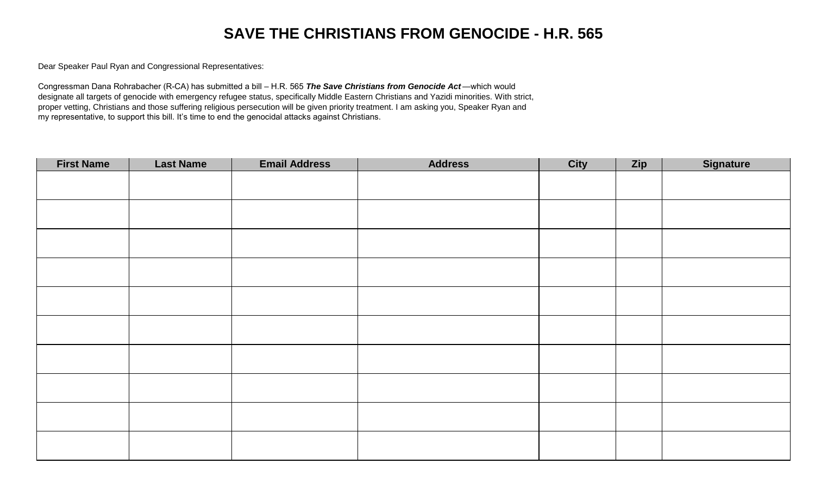## **SAVE THE CHRISTIANS FROM GENOCIDE - H.R. 565**

Dear Speaker Paul Ryan and Congressional Representatives:

Congressman Dana Rohrabacher (R-CA) has submitted a bill – H.R. 565 *The Save Christians from Genocide Act* —which would designate all targets of genocide with emergency refugee status, specifically Middle Eastern Christians and Yazidi minorities. With strict, proper vetting, Christians and those suffering religious persecution will be given priority treatment. I am asking you, Speaker Ryan and my representative, to support this bill. It's time to end the genocidal attacks against Christians.

| <b>First Name</b> | <b>Last Name</b> | <b>Email Address</b> | <b>Address</b> | <b>City</b> | Zip | <b>Signature</b> |
|-------------------|------------------|----------------------|----------------|-------------|-----|------------------|
|                   |                  |                      |                |             |     |                  |
|                   |                  |                      |                |             |     |                  |
|                   |                  |                      |                |             |     |                  |
|                   |                  |                      |                |             |     |                  |
|                   |                  |                      |                |             |     |                  |
|                   |                  |                      |                |             |     |                  |
|                   |                  |                      |                |             |     |                  |
|                   |                  |                      |                |             |     |                  |
|                   |                  |                      |                |             |     |                  |
|                   |                  |                      |                |             |     |                  |
|                   |                  |                      |                |             |     |                  |
|                   |                  |                      |                |             |     |                  |
|                   |                  |                      |                |             |     |                  |
|                   |                  |                      |                |             |     |                  |
|                   |                  |                      |                |             |     |                  |
|                   |                  |                      |                |             |     |                  |